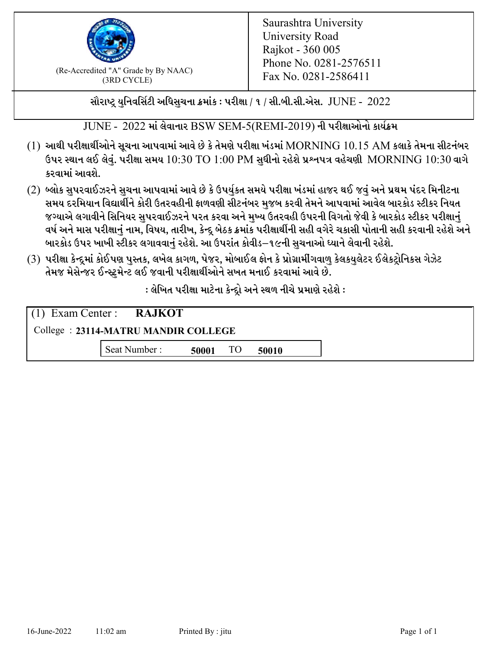

 $F_{\text{R}}$  (Re-Accredited "A" Grade by By NAAC)<br>(3PD CVCLE)<br> $F_{\text{R}}$  No. 0281-2586411 (3RD CYCLE)

સૌરાષ્ટ્ર યુનિવર્સિટી અધિસુચના ક્રમાંક : પરીક્ષા / ૧ / સી.બી.સી.એસ.  $\,$  JUNE -  $\,2022$ 

 $JUNE - 2022$  માં લેવાનાર BSW SEM-5(REMI-2019) ની પરીક્ષાઓનો કાર્યક્રમ

- $(1)$  આથી પરીક્ષાર્થીઓને સૂચના આપવામાં આવે છે કે તેમણે પરીક્ષા ખંડમાં  $\operatorname{MORNING}$   $10.15$   $\operatorname{AM}$  કલાકે તેમના સીટનંબર ઉપર સ્થાન લઈ લેવું. પરીક્ષા સમય  $10:30 \text{ TO } 1:00 \text{ PM}$  સુધીનો રહેશે પ્રશ્નપત્ર વહેચણી  $\text{MORNING } 10:30$  વાગે કરવામાં આવશે.
- (2) બ્લોક સુપરવાઈઝરને સુચના આપવામાં આવે છે કે ઉપર્યુકત સમયે પરીક્ષા ખંડમાં હાજર થઈ જવું અને પ્રથમ પંદર મિનીટના સમય દરમિયાન વિદ્યાર્થીને કોરી ઉતરવહીની ફાળવણી સીટનંબર મજબ કરવી તેમને આપવામાં આવેલ બારકોડ સ્ટીકર નિયત જગ્યાએ લગાવીને સિનિયર સુપરવાઈઝરને પરત કરવા અને મુખ્ય ઉતરવહી ઉપરની વિગતો જેવી કે બારકોડ સ્ટીકર પરીક્ષ<u>ાન</u>ં વર્ષ અને માસ પરીક્ષાનું નામ, વિષય, તારીખ, કેન્દ્ર બેઠક ક્રમાંક પરીક્ષાર્થીની સહી વગેરે ચકાસી પોતાની સહી કરવાની રહેશે અને બારકોડ ઉપર ખાખી સ્ટીકર લગાવવાનં રહેશે. આ ઉપરાંત કોવીડ–૧૯ની સચનાઓ ધ્યાને લેવાની રહેશે.
- (3) પરીક્ષા કેન્દ્રમાં કોઈપણ પુસ્તક, લખેલ કાગળ, પેજર, મોબાઈલ ફોન કે પ્રોગ્રામીંગવાળુ કેલકયુલેટર ઈલેકટ્રોનિકસ ગેઝેટ તેમજ મેસેન્જર ઈન્સ્ટમેન્ટ લઈ જવાની પરીક્ષાર્થીઓને સખત મનાઈ કરવામાં આવે છે.

: લેખિત પરીક્ષા માટેના કેન્દ્દો અને સ્થળ નીચે પ્રમાણે રહેશે :

|                                     | $(1)$ Exam Center : RAJKOT |       |    |       |  |  |
|-------------------------------------|----------------------------|-------|----|-------|--|--|
| College: 23114-MATRU MANDIR COLLEGE |                            |       |    |       |  |  |
|                                     | Seat Number:               | 50001 | TO | 50010 |  |  |